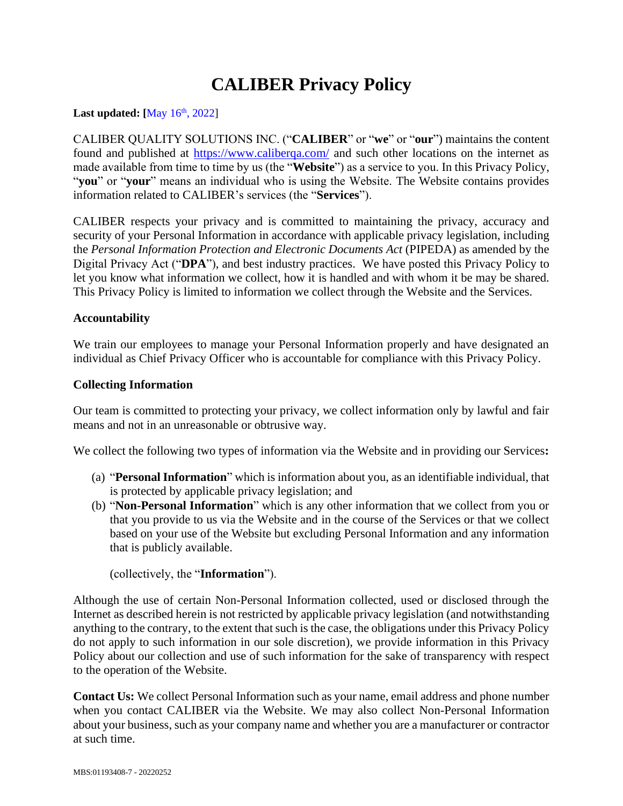# **CALIBER Privacy Policy**

#### **Last updated:**  $[May 16<sup>th</sup>, 2022]$

CALIBER QUALITY SOLUTIONS INC. ("**CALIBER**" or "**we**" or "**our**") maintains the content found and published at https://www.caliberga.com/ and such other locations on the internet as made available from time to time by us (the "**Website**") as a service to you. In this Privacy Policy, "**you**" or "**your**" means an individual who is using the Website. The Website contains provides information related to CALIBER's services (the "**Services**").

CALIBER respects your privacy and is committed to maintaining the privacy, accuracy and security of your Personal Information in accordance with applicable privacy legislation, including the *Personal Information Protection and Electronic Documents Act* (PIPEDA) as amended by the Digital Privacy Act ("**DPA**"), and best industry practices. We have posted this Privacy Policy to let you know what information we collect, how it is handled and with whom it be may be shared. This Privacy Policy is limited to information we collect through the Website and the Services.

# **Accountability**

We train our employees to manage your Personal Information properly and have designated an individual as Chief Privacy Officer who is accountable for compliance with this Privacy Policy.

#### **Collecting Information**

Our team is committed to protecting your privacy, we collect information only by lawful and fair means and not in an unreasonable or obtrusive way.

We collect the following two types of information via the Website and in providing our Services**:**

- (a) "**Personal Information**" which is information about you, as an identifiable individual, that is protected by applicable privacy legislation; and
- (b) "**Non-Personal Information**" which is any other information that we collect from you or that you provide to us via the Website and in the course of the Services or that we collect based on your use of the Website but excluding Personal Information and any information that is publicly available.

(collectively, the "**Information**").

Although the use of certain Non-Personal Information collected, used or disclosed through the Internet as described herein is not restricted by applicable privacy legislation (and notwithstanding anything to the contrary, to the extent that such is the case, the obligations under this Privacy Policy do not apply to such information in our sole discretion), we provide information in this Privacy Policy about our collection and use of such information for the sake of transparency with respect to the operation of the Website.

**Contact Us:** We collect Personal Information such as your name, email address and phone number when you contact CALIBER via the Website. We may also collect Non-Personal Information about your business, such as your company name and whether you are a manufacturer or contractor at such time.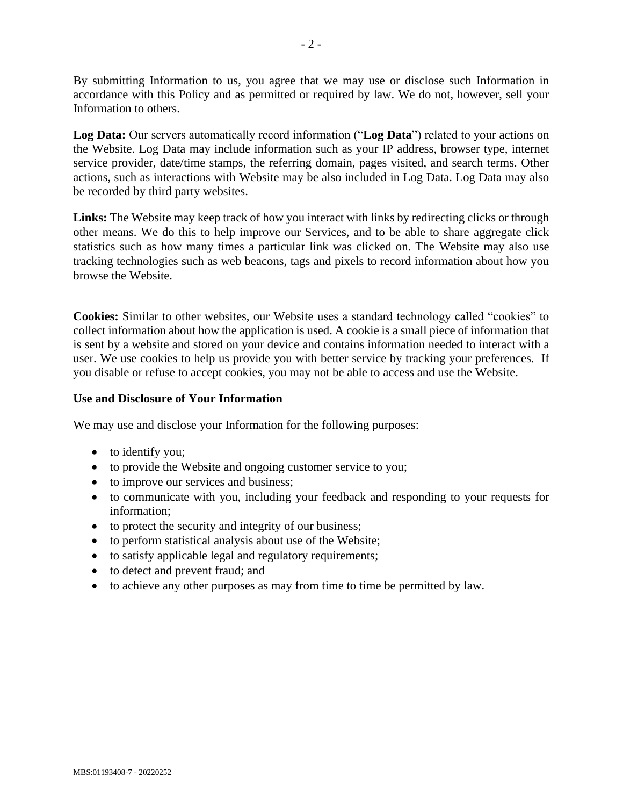By submitting Information to us, you agree that we may use or disclose such Information in accordance with this Policy and as permitted or required by law. We do not, however, sell your Information to others.

**Log Data:** Our servers automatically record information ("**Log Data**") related to your actions on the Website. Log Data may include information such as your IP address, browser type, internet service provider, date/time stamps, the referring domain, pages visited, and search terms. Other actions, such as interactions with Website may be also included in Log Data. Log Data may also be recorded by third party websites.

**Links:** The Website may keep track of how you interact with links by redirecting clicks or through other means. We do this to help improve our Services, and to be able to share aggregate click statistics such as how many times a particular link was clicked on. The Website may also use tracking technologies such as web beacons, tags and pixels to record information about how you browse the Website.

**Cookies:** Similar to other websites, our Website uses a standard technology called "cookies" to collect information about how the application is used. A cookie is a small piece of information that is sent by a website and stored on your device and contains information needed to interact with a user. We use cookies to help us provide you with better service by tracking your preferences. If you disable or refuse to accept cookies, you may not be able to access and use the Website.

#### **Use and Disclosure of Your Information**

We may use and disclose your Information for the following purposes:

- to identify you;
- to provide the Website and ongoing customer service to you;
- to improve our services and business;
- to communicate with you, including your feedback and responding to your requests for information;
- to protect the security and integrity of our business;
- to perform statistical analysis about use of the Website;
- to satisfy applicable legal and regulatory requirements;
- to detect and prevent fraud; and
- to achieve any other purposes as may from time to time be permitted by law.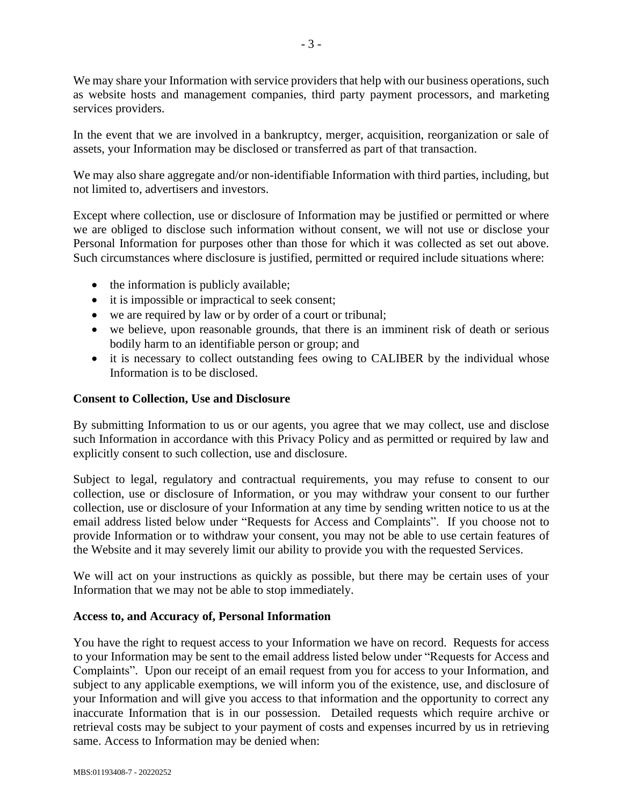We may share your Information with service providers that help with our business operations, such as website hosts and management companies, third party payment processors, and marketing services providers.

In the event that we are involved in a bankruptcy, merger, acquisition, reorganization or sale of assets, your Information may be disclosed or transferred as part of that transaction.

We may also share aggregate and/or non-identifiable Information with third parties, including, but not limited to, advertisers and investors.

Except where collection, use or disclosure of Information may be justified or permitted or where we are obliged to disclose such information without consent, we will not use or disclose your Personal Information for purposes other than those for which it was collected as set out above. Such circumstances where disclosure is justified, permitted or required include situations where:

- the information is publicly available;
- it is impossible or impractical to seek consent;
- we are required by law or by order of a court or tribunal;
- we believe, upon reasonable grounds, that there is an imminent risk of death or serious bodily harm to an identifiable person or group; and
- it is necessary to collect outstanding fees owing to CALIBER by the individual whose Information is to be disclosed.

# **Consent to Collection, Use and Disclosure**

By submitting Information to us or our agents, you agree that we may collect, use and disclose such Information in accordance with this Privacy Policy and as permitted or required by law and explicitly consent to such collection, use and disclosure.

Subject to legal, regulatory and contractual requirements, you may refuse to consent to our collection, use or disclosure of Information, or you may withdraw your consent to our further collection, use or disclosure of your Information at any time by sending written notice to us at the email address listed below under "Requests for Access and Complaints". If you choose not to provide Information or to withdraw your consent, you may not be able to use certain features of the Website and it may severely limit our ability to provide you with the requested Services.

We will act on your instructions as quickly as possible, but there may be certain uses of your Information that we may not be able to stop immediately.

# **Access to, and Accuracy of, Personal Information**

You have the right to request access to your Information we have on record. Requests for access to your Information may be sent to the email address listed below under "Requests for Access and Complaints". Upon our receipt of an email request from you for access to your Information, and subject to any applicable exemptions, we will inform you of the existence, use, and disclosure of your Information and will give you access to that information and the opportunity to correct any inaccurate Information that is in our possession. Detailed requests which require archive or retrieval costs may be subject to your payment of costs and expenses incurred by us in retrieving same. Access to Information may be denied when: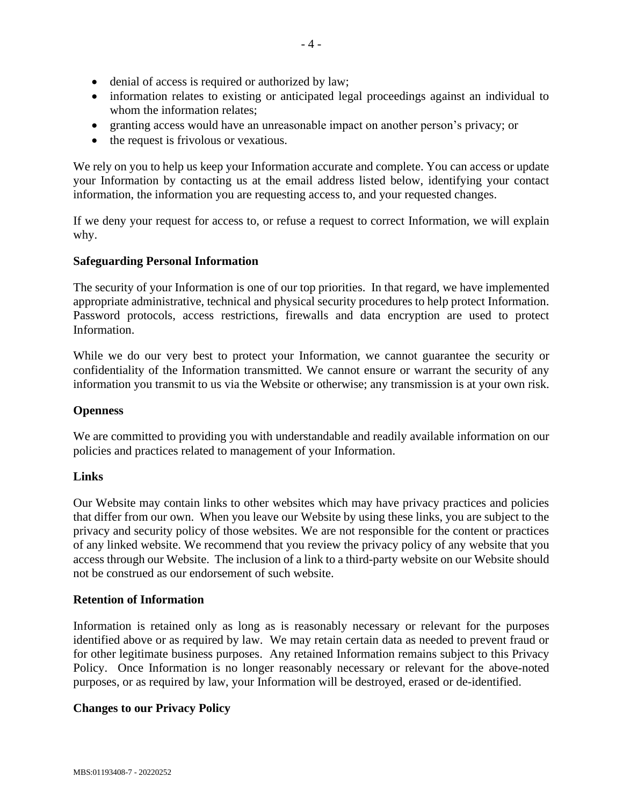- denial of access is required or authorized by law;
- information relates to existing or anticipated legal proceedings against an individual to whom the information relates;
- granting access would have an unreasonable impact on another person's privacy; or
- the request is frivolous or vexatious.

We rely on you to help us keep your Information accurate and complete. You can access or update your Information by contacting us at the email address listed below, identifying your contact information, the information you are requesting access to, and your requested changes.

If we deny your request for access to, or refuse a request to correct Information, we will explain why.

# **Safeguarding Personal Information**

The security of your Information is one of our top priorities. In that regard, we have implemented appropriate administrative, technical and physical security procedures to help protect Information. Password protocols, access restrictions, firewalls and data encryption are used to protect Information.

While we do our very best to protect your Information, we cannot guarantee the security or confidentiality of the Information transmitted. We cannot ensure or warrant the security of any information you transmit to us via the Website or otherwise; any transmission is at your own risk.

# **Openness**

We are committed to providing you with understandable and readily available information on our policies and practices related to management of your Information.

# **Links**

Our Website may contain links to other websites which may have privacy practices and policies that differ from our own. When you leave our Website by using these links, you are subject to the privacy and security policy of those websites. We are not responsible for the content or practices of any linked website. We recommend that you review the privacy policy of any website that you access through our Website. The inclusion of a link to a third-party website on our Website should not be construed as our endorsement of such website.

# **Retention of Information**

Information is retained only as long as is reasonably necessary or relevant for the purposes identified above or as required by law. We may retain certain data as needed to prevent fraud or for other legitimate business purposes. Any retained Information remains subject to this Privacy Policy. Once Information is no longer reasonably necessary or relevant for the above-noted purposes, or as required by law, your Information will be destroyed, erased or de-identified.

# **Changes to our Privacy Policy**